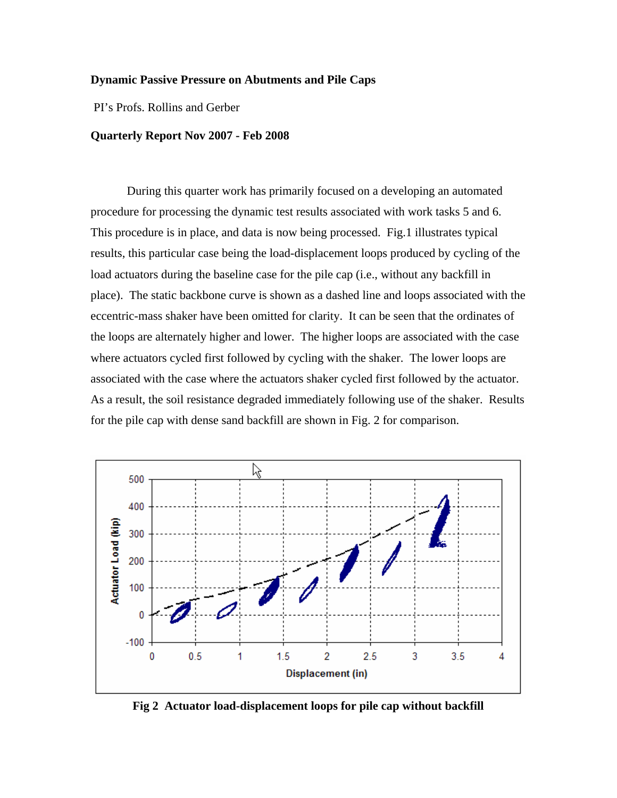## **Dynamic Passive Pressure on Abutments and Pile Caps**

PI's Profs. Rollins and Gerber

## **Quarterly Report Nov 2007 - Feb 2008**

During this quarter work has primarily focused on a developing an automated procedure for processing the dynamic test results associated with work tasks 5 and 6. This procedure is in place, and data is now being processed. Fig.1 illustrates typical results, this particular case being the load-displacement loops produced by cycling of the load actuators during the baseline case for the pile cap (i.e., without any backfill in place). The static backbone curve is shown as a dashed line and loops associated with the eccentric-mass shaker have been omitted for clarity. It can be seen that the ordinates of the loops are alternately higher and lower. The higher loops are associated with the case where actuators cycled first followed by cycling with the shaker. The lower loops are associated with the case where the actuators shaker cycled first followed by the actuator. As a result, the soil resistance degraded immediately following use of the shaker. Results for the pile cap with dense sand backfill are shown in Fig. 2 for comparison.



**Fig 2 Actuator load-displacement loops for pile cap without backfill**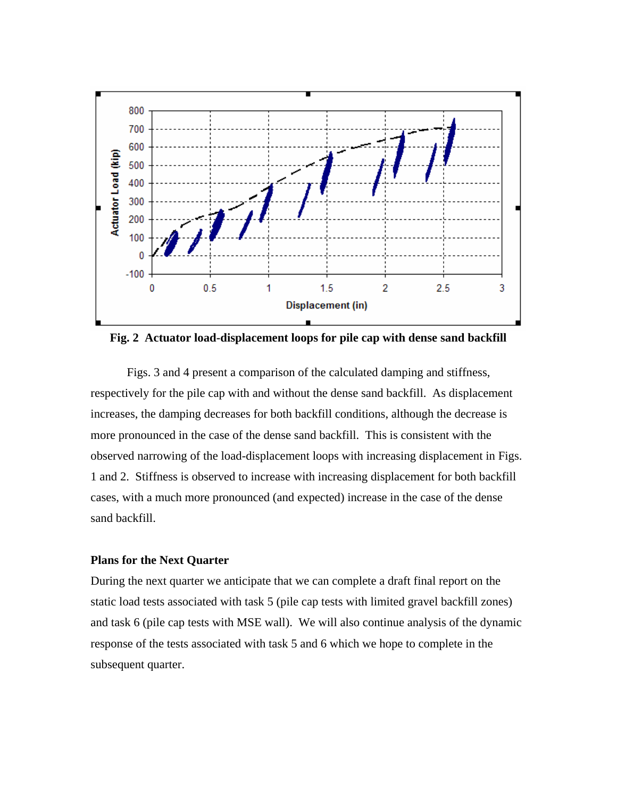

**Fig. 2 Actuator load-displacement loops for pile cap with dense sand backfill** 

Figs. 3 and 4 present a comparison of the calculated damping and stiffness, respectively for the pile cap with and without the dense sand backfill. As displacement increases, the damping decreases for both backfill conditions, although the decrease is more pronounced in the case of the dense sand backfill. This is consistent with the observed narrowing of the load-displacement loops with increasing displacement in Figs. 1 and 2. Stiffness is observed to increase with increasing displacement for both backfill cases, with a much more pronounced (and expected) increase in the case of the dense sand backfill.

## **Plans for the Next Quarter**

During the next quarter we anticipate that we can complete a draft final report on the static load tests associated with task 5 (pile cap tests with limited gravel backfill zones) and task 6 (pile cap tests with MSE wall). We will also continue analysis of the dynamic response of the tests associated with task 5 and 6 which we hope to complete in the subsequent quarter.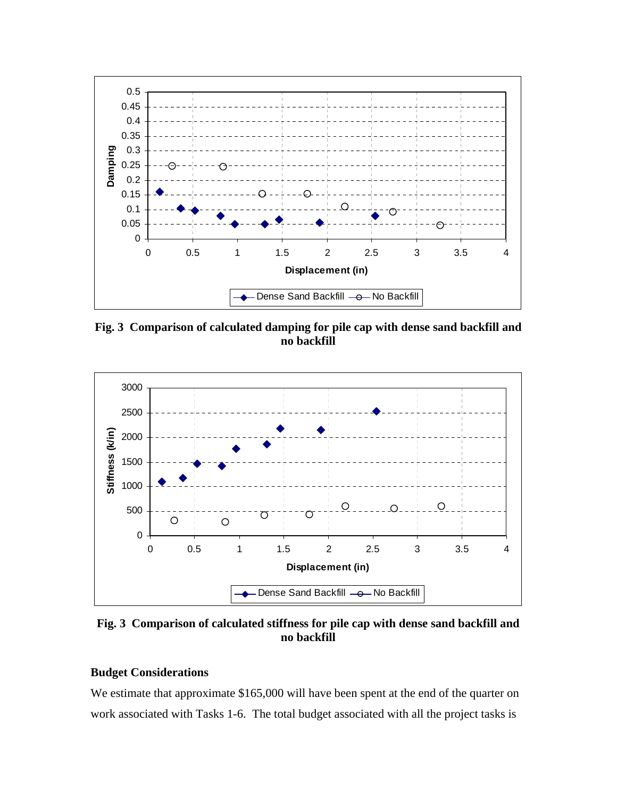

**Fig. 3 Comparison of calculated damping for pile cap with dense sand backfill and no backfill** 



**Fig. 3 Comparison of calculated stiffness for pile cap with dense sand backfill and no backfill** 

## **Budget Considerations**

We estimate that approximate \$165,000 will have been spent at the end of the quarter on work associated with Tasks 1-6. The total budget associated with all the project tasks is